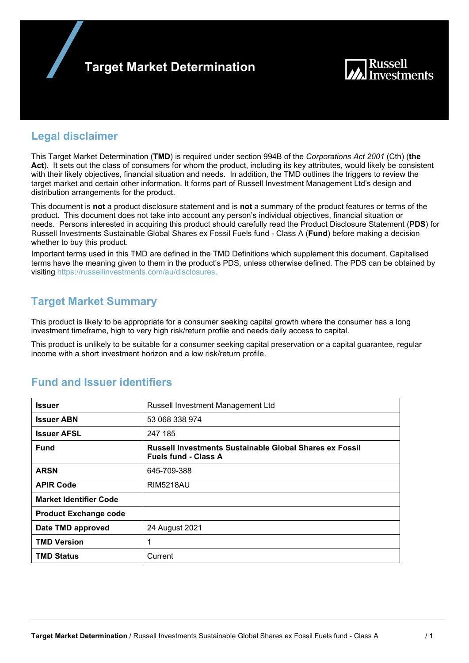



### **Legal disclaimer**

This Target Market Determination (**TMD**) is required under section 994B of the *Corporations Act 2001* (Cth) (**the Act**). It sets out the class of consumers for whom the product, including its key attributes, would likely be consistent with their likely objectives, financial situation and needs. In addition, the TMD outlines the triggers to review the target market and certain other information. It forms part of Russell Investment Management Ltd's design and distribution arrangements for the product.

This document is **not** a product disclosure statement and is **not** a summary of the product features or terms of the product. This document does not take into account any person's individual objectives, financial situation or needs. Persons interested in acquiring this product should carefully read the Product Disclosure Statement (**PDS**) for Russell Investments Sustainable Global Shares ex Fossil Fuels fund - Class A (**Fund**) before making a decision whether to buy this product.

Important terms used in this TMD are defined in the TMD Definitions which supplement this document. Capitalised terms have the meaning given to them in the product's PDS, unless otherwise defined. The PDS can be obtained by visiting https://russellinvestments.com/au/disclosures.

### **Target Market Summary**

This product is likely to be appropriate for a consumer seeking capital growth where the consumer has a long investment timeframe, high to very high risk/return profile and needs daily access to capital.

This product is unlikely to be suitable for a consumer seeking capital preservation or a capital guarantee, regular income with a short investment horizon and a low risk/return profile.

| <b>Issuer</b>                 | Russell Investment Management Ltd                                                             |
|-------------------------------|-----------------------------------------------------------------------------------------------|
| <b>Issuer ABN</b>             | 53 068 338 974                                                                                |
| <b>Issuer AFSL</b>            | 247 185                                                                                       |
| <b>Fund</b>                   | <b>Russell Investments Sustainable Global Shares ex Fossil</b><br><b>Fuels fund - Class A</b> |
| <b>ARSN</b>                   | 645-709-388                                                                                   |
| <b>APIR Code</b>              | <b>RIM5218AU</b>                                                                              |
| <b>Market Identifier Code</b> |                                                                                               |
| <b>Product Exchange code</b>  |                                                                                               |
| Date TMD approved             | 24 August 2021                                                                                |
| <b>TMD Version</b>            | 1                                                                                             |
| <b>TMD Status</b>             | Current                                                                                       |

## **Fund and Issuer identifiers**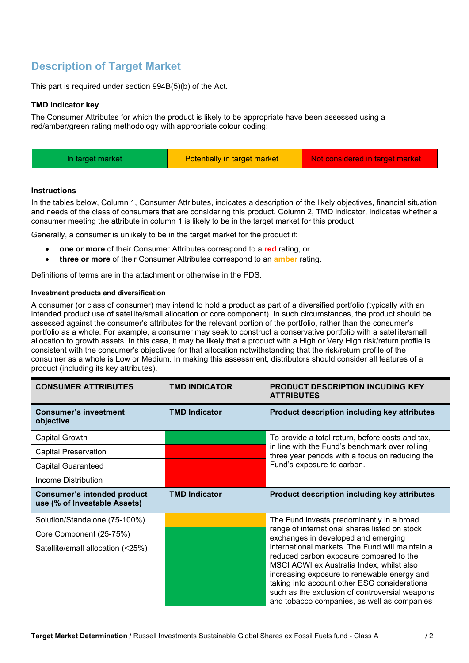# **Description of Target Market**

This part is required under section 994B(5)(b) of the Act.

#### **TMD indicator key**

The Consumer Attributes for which the product is likely to be appropriate have been assessed using a red/amber/green rating methodology with appropriate colour coding:

| Potentially in target market<br>Not considered in target market<br>In target market |  |
|-------------------------------------------------------------------------------------|--|
|-------------------------------------------------------------------------------------|--|

#### **Instructions**

In the tables below, Column 1, Consumer Attributes, indicates a description of the likely objectives, financial situation and needs of the class of consumers that are considering this product. Column 2, TMD indicator, indicates whether a consumer meeting the attribute in column 1 is likely to be in the target market for this product.

Generally, a consumer is unlikely to be in the target market for the product if:

- **one or more** of their Consumer Attributes correspond to a **red** rating, or
- **three or more** of their Consumer Attributes correspond to an **amber** rating.

Definitions of terms are in the attachment or otherwise in the PDS.

#### **Investment products and diversification**

A consumer (or class of consumer) may intend to hold a product as part of a diversified portfolio (typically with an intended product use of satellite/small allocation or core component). In such circumstances, the product should be assessed against the consumer's attributes for the relevant portion of the portfolio, rather than the consumer's portfolio as a whole. For example, a consumer may seek to construct a conservative portfolio with a satellite/small allocation to growth assets. In this case, it may be likely that a product with a High or Very High risk/return profile is consistent with the consumer's objectives for that allocation notwithstanding that the risk/return profile of the consumer as a whole is Low or Medium. In making this assessment, distributors should consider all features of a product (including its key attributes).

| <b>CONSUMER ATTRIBUTES</b>                                         | <b>TMD INDICATOR</b> | <b>PRODUCT DESCRIPTION INCUDING KEY</b><br><b>ATTRIBUTES</b>                                                                                                                                                                                                                                                                            |  |
|--------------------------------------------------------------------|----------------------|-----------------------------------------------------------------------------------------------------------------------------------------------------------------------------------------------------------------------------------------------------------------------------------------------------------------------------------------|--|
| <b>Consumer's investment</b><br>objective                          | <b>TMD Indicator</b> | Product description including key attributes                                                                                                                                                                                                                                                                                            |  |
| Capital Growth                                                     |                      | To provide a total return, before costs and tax,                                                                                                                                                                                                                                                                                        |  |
| <b>Capital Preservation</b>                                        |                      | in line with the Fund's benchmark over rolling<br>three year periods with a focus on reducing the                                                                                                                                                                                                                                       |  |
| <b>Capital Guaranteed</b>                                          |                      | Fund's exposure to carbon.                                                                                                                                                                                                                                                                                                              |  |
| Income Distribution                                                |                      |                                                                                                                                                                                                                                                                                                                                         |  |
| <b>Consumer's intended product</b><br>use (% of Investable Assets) | <b>TMD Indicator</b> | Product description including key attributes                                                                                                                                                                                                                                                                                            |  |
| Solution/Standalone (75-100%)                                      |                      | The Fund invests predominantly in a broad                                                                                                                                                                                                                                                                                               |  |
| Core Component (25-75%)                                            |                      | range of international shares listed on stock<br>exchanges in developed and emerging                                                                                                                                                                                                                                                    |  |
| Satellite/small allocation (<25%)                                  |                      | international markets. The Fund will maintain a<br>reduced carbon exposure compared to the<br>MSCI ACWI ex Australia Index, whilst also<br>increasing exposure to renewable energy and<br>taking into account other ESG considerations<br>such as the exclusion of controversial weapons<br>and tobacco companies, as well as companies |  |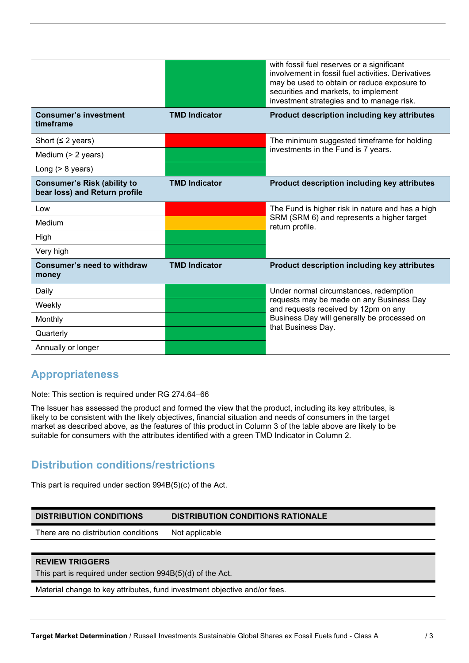|                                                                     |                      | with fossil fuel reserves or a significant<br>involvement in fossil fuel activities. Derivatives<br>may be used to obtain or reduce exposure to<br>securities and markets, to implement<br>investment strategies and to manage risk. |
|---------------------------------------------------------------------|----------------------|--------------------------------------------------------------------------------------------------------------------------------------------------------------------------------------------------------------------------------------|
| <b>Consumer's investment</b><br>timeframe                           | <b>TMD Indicator</b> | <b>Product description including key attributes</b>                                                                                                                                                                                  |
| Short ( $\leq$ 2 years)                                             |                      | The minimum suggested timeframe for holding                                                                                                                                                                                          |
| Medium (> 2 years)                                                  |                      | investments in the Fund is 7 years.                                                                                                                                                                                                  |
| Long $(> 8$ years)                                                  |                      |                                                                                                                                                                                                                                      |
| <b>Consumer's Risk (ability to</b><br>bear loss) and Return profile | <b>TMD Indicator</b> | <b>Product description including key attributes</b>                                                                                                                                                                                  |
| Low                                                                 |                      | The Fund is higher risk in nature and has a high                                                                                                                                                                                     |
| Medium                                                              |                      | SRM (SRM 6) and represents a higher target<br>return profile.                                                                                                                                                                        |
| High                                                                |                      |                                                                                                                                                                                                                                      |
| Very high                                                           |                      |                                                                                                                                                                                                                                      |
| <b>Consumer's need to withdraw</b><br>money                         | <b>TMD Indicator</b> | Product description including key attributes                                                                                                                                                                                         |
| Daily                                                               |                      | Under normal circumstances, redemption                                                                                                                                                                                               |
| Weekly                                                              |                      | requests may be made on any Business Day<br>and requests received by 12pm on any                                                                                                                                                     |
| Monthly                                                             |                      | Business Day will generally be processed on                                                                                                                                                                                          |
| Quarterly                                                           |                      | that Business Day.                                                                                                                                                                                                                   |
| Annually or longer                                                  |                      |                                                                                                                                                                                                                                      |

## **Appropriateness**

Note: This section is required under RG 274.64–66

The Issuer has assessed the product and formed the view that the product, including its key attributes, is likely to be consistent with the likely objectives, financial situation and needs of consumers in the target market as described above, as the features of this product in Column 3 of the table above are likely to be suitable for consumers with the attributes identified with a green TMD Indicator in Column 2.

## **Distribution conditions/restrictions**

This part is required under section 994B(5)(c) of the Act.

| <b>DISTRIBUTION CONDITIONS</b>       | <b>DISTRIBUTION CONDITIONS RATIONALE</b> |
|--------------------------------------|------------------------------------------|
| There are no distribution conditions | Not applicable                           |

#### **REVIEW TRIGGERS**

This part is required under section 994B(5)(d) of the Act.

Material change to key attributes, fund investment objective and/or fees.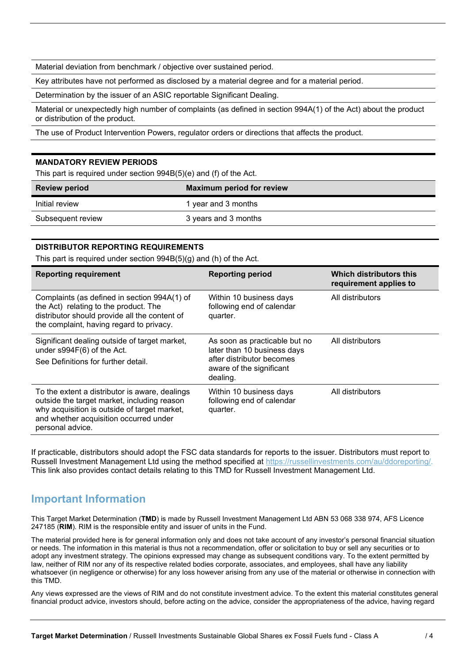Material deviation from benchmark / objective over sustained period.

Key attributes have not performed as disclosed by a material degree and for a material period.

Determination by the issuer of an ASIC reportable Significant Dealing.

Material or unexpectedly high number of complaints (as defined in section 994A(1) of the Act) about the product or distribution of the product.

The use of Product Intervention Powers, regulator orders or directions that affects the product.

#### **MANDATORY REVIEW PERIODS**

This part is required under section 994B(5)(e) and (f) of the Act.

| <b>Review period</b> | <b>Maximum period for review</b> |
|----------------------|----------------------------------|
| Initial review       | 1 year and 3 months              |
| Subsequent review    | 3 years and 3 months             |

### **DISTRIBUTOR REPORTING REQUIREMENTS**

This part is required under section 994B(5)(g) and (h) of the Act.

| <b>Reporting requirement</b>                                                                                                                                                                                | <b>Reporting period</b>                                                                                                           | Which distributors this<br>requirement applies to |
|-------------------------------------------------------------------------------------------------------------------------------------------------------------------------------------------------------------|-----------------------------------------------------------------------------------------------------------------------------------|---------------------------------------------------|
| Complaints (as defined in section 994A(1) of<br>the Act) relating to the product. The<br>distributor should provide all the content of<br>the complaint, having regard to privacy.                          | Within 10 business days<br>following end of calendar<br>quarter.                                                                  | All distributors                                  |
| Significant dealing outside of target market,<br>under s994F(6) of the Act.<br>See Definitions for further detail.                                                                                          | As soon as practicable but no<br>later than 10 business days<br>after distributor becomes<br>aware of the significant<br>dealing. | All distributors                                  |
| To the extent a distributor is aware, dealings<br>outside the target market, including reason<br>why acquisition is outside of target market,<br>and whether acquisition occurred under<br>personal advice. | Within 10 business days<br>following end of calendar<br>quarter.                                                                  | All distributors                                  |

If practicable, distributors should adopt the FSC data standards for reports to the issuer. Distributors must report to Russell Investment Management Ltd using the method specified at https://russellinvestments.com/au/ddoreporting/. This link also provides contact details relating to this TMD for Russell Investment Management Ltd.

### **Important Information**

This Target Market Determination (**TMD**) is made by Russell Investment Management Ltd ABN 53 068 338 974, AFS Licence 247185 (**RIM**). RIM is the responsible entity and issuer of units in the Fund.

The material provided here is for general information only and does not take account of any investor's personal financial situation or needs. The information in this material is thus not a recommendation, offer or solicitation to buy or sell any securities or to adopt any investment strategy. The opinions expressed may change as subsequent conditions vary. To the extent permitted by law, neither of RIM nor any of its respective related bodies corporate, associates, and employees, shall have any liability whatsoever (in negligence or otherwise) for any loss however arising from any use of the material or otherwise in connection with this TMD.

Any views expressed are the views of RIM and do not constitute investment advice. To the extent this material constitutes general financial product advice, investors should, before acting on the advice, consider the appropriateness of the advice, having regard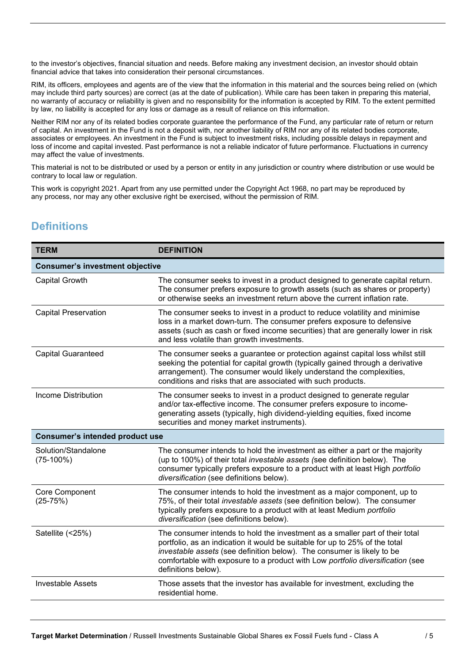to the investor's objectives, financial situation and needs. Before making any investment decision, an investor should obtain financial advice that takes into consideration their personal circumstances.

RIM, its officers, employees and agents are of the view that the information in this material and the sources being relied on (which may include third party sources) are correct (as at the date of publication). While care has been taken in preparing this material, no warranty of accuracy or reliability is given and no responsibility for the information is accepted by RIM. To the extent permitted by law, no liability is accepted for any loss or damage as a result of reliance on this information.

Neither RIM nor any of its related bodies corporate guarantee the performance of the Fund, any particular rate of return or return of capital. An investment in the Fund is not a deposit with, nor another liability of RIM nor any of its related bodies corporate, associates or employees. An investment in the Fund is subject to investment risks, including possible delays in repayment and loss of income and capital invested. Past performance is not a reliable indicator of future performance. Fluctuations in currency may affect the value of investments.

This material is not to be distributed or used by a person or entity in any jurisdiction or country where distribution or use would be contrary to local law or regulation.

This work is copyright 2021. Apart from any use permitted under the Copyright Act 1968, no part may be reproduced by any process, nor may any other exclusive right be exercised, without the permission of RIM.

## **Definitions**

| <b>TERM</b>                            | <b>DEFINITION</b>                                                                                                                                                                                                                                                                                                                              |  |
|----------------------------------------|------------------------------------------------------------------------------------------------------------------------------------------------------------------------------------------------------------------------------------------------------------------------------------------------------------------------------------------------|--|
| <b>Consumer's investment objective</b> |                                                                                                                                                                                                                                                                                                                                                |  |
| Capital Growth                         | The consumer seeks to invest in a product designed to generate capital return.<br>The consumer prefers exposure to growth assets (such as shares or property)<br>or otherwise seeks an investment return above the current inflation rate.                                                                                                     |  |
| <b>Capital Preservation</b>            | The consumer seeks to invest in a product to reduce volatility and minimise<br>loss in a market down-turn. The consumer prefers exposure to defensive<br>assets (such as cash or fixed income securities) that are generally lower in risk<br>and less volatile than growth investments.                                                       |  |
| <b>Capital Guaranteed</b>              | The consumer seeks a guarantee or protection against capital loss whilst still<br>seeking the potential for capital growth (typically gained through a derivative<br>arrangement). The consumer would likely understand the complexities,<br>conditions and risks that are associated with such products.                                      |  |
| <b>Income Distribution</b>             | The consumer seeks to invest in a product designed to generate regular<br>and/or tax-effective income. The consumer prefers exposure to income-<br>generating assets (typically, high dividend-yielding equities, fixed income<br>securities and money market instruments).                                                                    |  |
| <b>Consumer's intended product use</b> |                                                                                                                                                                                                                                                                                                                                                |  |
| Solution/Standalone<br>$(75-100%)$     | The consumer intends to hold the investment as either a part or the majority<br>(up to 100%) of their total investable assets (see definition below). The<br>consumer typically prefers exposure to a product with at least High portfolio<br>diversification (see definitions below).                                                         |  |
| Core Component<br>$(25-75%)$           | The consumer intends to hold the investment as a major component, up to<br>75%, of their total investable assets (see definition below). The consumer<br>typically prefers exposure to a product with at least Medium portfolio<br>diversification (see definitions below).                                                                    |  |
| Satellite (<25%)                       | The consumer intends to hold the investment as a smaller part of their total<br>portfolio, as an indication it would be suitable for up to 25% of the total<br>investable assets (see definition below). The consumer is likely to be<br>comfortable with exposure to a product with Low portfolio diversification (see<br>definitions below). |  |
| <b>Investable Assets</b>               | Those assets that the investor has available for investment, excluding the<br>residential home.                                                                                                                                                                                                                                                |  |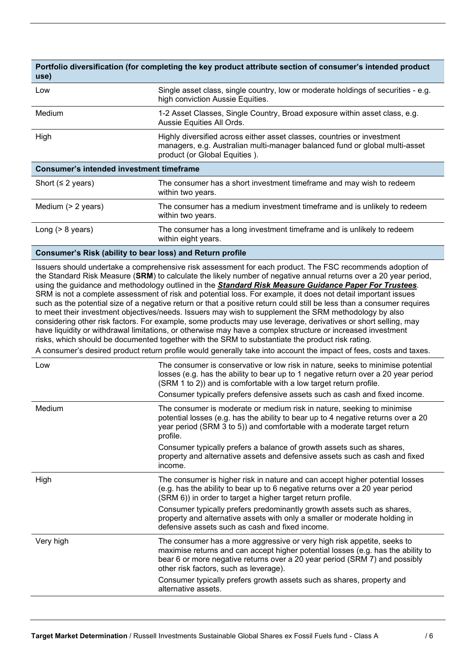| use)                                            | Portfolio diversification (for completing the key product attribute section of consumer's intended product                                                                              |  |
|-------------------------------------------------|-----------------------------------------------------------------------------------------------------------------------------------------------------------------------------------------|--|
| Low                                             | Single asset class, single country, low or moderate holdings of securities - e.g.<br>high conviction Aussie Equities.                                                                   |  |
| Medium                                          | 1-2 Asset Classes, Single Country, Broad exposure within asset class, e.g.<br>Aussie Equities All Ords.                                                                                 |  |
| High                                            | Highly diversified across either asset classes, countries or investment<br>managers, e.g. Australian multi-manager balanced fund or global multi-asset<br>product (or Global Equities). |  |
| <b>Consumer's intended investment timeframe</b> |                                                                                                                                                                                         |  |
| Short ( $\leq$ 2 years)                         | The consumer has a short investment timeframe and may wish to redeem<br>within two years.                                                                                               |  |
| Medium (> 2 years)                              | The consumer has a medium investment timeframe and is unlikely to redeem<br>within two years.                                                                                           |  |
| Long $(> 8$ years)                              | The consumer has a long investment timeframe and is unlikely to redeem<br>within eight years.                                                                                           |  |
|                                                 |                                                                                                                                                                                         |  |

#### **Consumer's Risk (ability to bear loss) and Return profile**

Issuers should undertake a comprehensive risk assessment for each product. The FSC recommends adoption of the Standard Risk Measure (**SRM**) to calculate the likely number of negative annual returns over a 20 year period, using the guidance and methodology outlined in the *Standard Risk Measure Guidance Paper For Trustees*. SRM is not a complete assessment of risk and potential loss. For example, it does not detail important issues such as the potential size of a negative return or that a positive return could still be less than a consumer requires to meet their investment objectives/needs. Issuers may wish to supplement the SRM methodology by also considering other risk factors. For example, some products may use leverage, derivatives or short selling, may have liquidity or withdrawal limitations, or otherwise may have a complex structure or increased investment risks, which should be documented together with the SRM to substantiate the product risk rating.

A consumer's desired product return profile would generally take into account the impact of fees, costs and taxes.

| Low       | The consumer is conservative or low risk in nature, seeks to minimise potential<br>losses (e.g. has the ability to bear up to 1 negative return over a 20 year period<br>(SRM 1 to 2)) and is comfortable with a low target return profile.<br>Consumer typically prefers defensive assets such as cash and fixed income. |
|-----------|---------------------------------------------------------------------------------------------------------------------------------------------------------------------------------------------------------------------------------------------------------------------------------------------------------------------------|
| Medium    | The consumer is moderate or medium risk in nature, seeking to minimise<br>potential losses (e.g. has the ability to bear up to 4 negative returns over a 20<br>year period (SRM 3 to 5)) and comfortable with a moderate target return<br>profile.                                                                        |
|           | Consumer typically prefers a balance of growth assets such as shares,<br>property and alternative assets and defensive assets such as cash and fixed<br>income.                                                                                                                                                           |
| High      | The consumer is higher risk in nature and can accept higher potential losses<br>(e.g. has the ability to bear up to 6 negative returns over a 20 year period<br>(SRM 6)) in order to target a higher target return profile.                                                                                               |
|           | Consumer typically prefers predominantly growth assets such as shares,<br>property and alternative assets with only a smaller or moderate holding in<br>defensive assets such as cash and fixed income.                                                                                                                   |
| Very high | The consumer has a more aggressive or very high risk appetite, seeks to<br>maximise returns and can accept higher potential losses (e.g. has the ability to<br>bear 6 or more negative returns over a 20 year period (SRM 7) and possibly<br>other risk factors, such as leverage).                                       |
|           | Consumer typically prefers growth assets such as shares, property and<br>alternative assets.                                                                                                                                                                                                                              |
|           |                                                                                                                                                                                                                                                                                                                           |